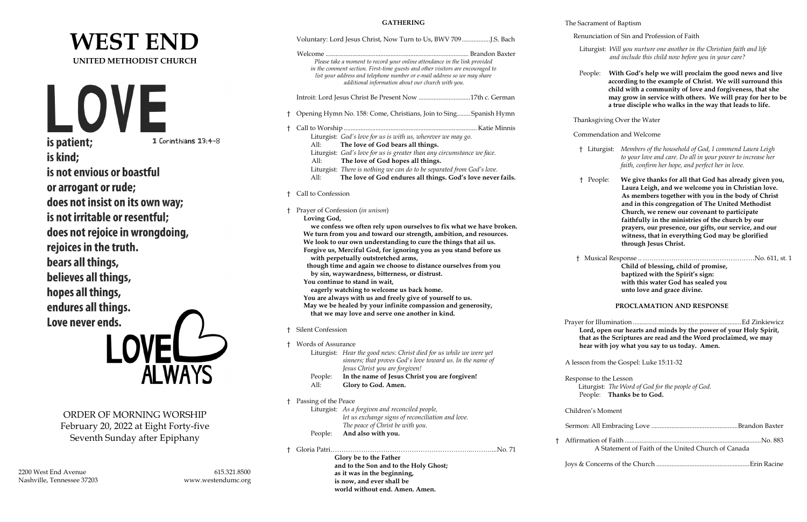# **WEST END UNITED METHODIST CHURCH**

LOVE is patient;

1 Corinthians 13:4-8

is kind; is not envious or boastful or arrogant or rude; does not insist on its own way; is not irritable or resentful; does not rejoice in wrongdoing, rejoices in the truth. bears all things, believes all things, hopes all things, endures all things. Love never ends.

ORDER OF MORNING WORSHIP February 20, 2022 at Eight Forty-five Seventh Sunday after Epiphany

**ALWAYS** 

2200 West End Avenue 615.321.8500 Nashville, Tennessee 37203 www.westendumc.org

**GATHERING**

|    | Voluntary: Lord Jesus Christ, Now Turn to Us, BWV 709 J.S. Bach                                                                                                                                                 | Renunciation of Sin and Profession of Faith                                                                                                                                                 |  |
|----|-----------------------------------------------------------------------------------------------------------------------------------------------------------------------------------------------------------------|---------------------------------------------------------------------------------------------------------------------------------------------------------------------------------------------|--|
|    |                                                                                                                                                                                                                 | Liturgist: Will you nurture one another in the Christian faith and life<br>and include this child now before you in your care?                                                              |  |
|    | Please take a moment to record your online attendance in the link provided                                                                                                                                      |                                                                                                                                                                                             |  |
|    | in the comment section. First-time guests and other visitors are encouraged to<br>list your address and telephone number or e-mail address so we may share<br>additional information about our church with you. | With God's help we will proclaim the good news and live<br>People:<br>according to the example of Christ. We will surround this<br>child with a community of love and forgiveness, that she |  |
|    | Introit: Lord Jesus Christ Be Present Now 17th c. German                                                                                                                                                        | may grow in service with others. We will pray for her to be<br>a true disciple who walks in the way that leads to life.                                                                     |  |
|    | † Opening Hymn No. 158: Come, Christians, Join to Sing Spanish Hymn                                                                                                                                             | Thanksgiving Over the Water                                                                                                                                                                 |  |
|    |                                                                                                                                                                                                                 | Commendation and Welcome                                                                                                                                                                    |  |
|    | Liturgist: God's love for us is with us, wherever we may go.<br>All:<br>The love of God bears all things.                                                                                                       |                                                                                                                                                                                             |  |
|    | Liturgist: God's love for us is greater than any circumstance we face.<br>All:<br>The love of God hopes all things.                                                                                             | † Liturgist: Members of the household of God, I commend Laura Leigh<br>to your love and care. Do all in your power to increase her                                                          |  |
|    | Liturgist: There is nothing we can do to be separated from God's love.<br>The love of God endures all things. God's love never fails.<br>All:                                                                   | faith, confirm her hope, and perfect her in love.<br>We give thanks for all that God has already given you,<br>† People:                                                                    |  |
|    | † Call to Confession                                                                                                                                                                                            | Laura Leigh, and we welcome you in Christian love.<br>As members together with you in the body of Christ                                                                                    |  |
|    | † Prayer of Confession (in unison)<br>Loving God,                                                                                                                                                               | and in this congregation of The United Methodist<br>Church, we renew our covenant to participate<br>faithfully in the ministries of the church by our                                       |  |
|    | we confess we often rely upon ourselves to fix what we have broken.<br>We turn from you and toward our strength, ambition, and resources.                                                                       | prayers, our presence, our gifts, our service, and our<br>witness, that in everything God may be glorified                                                                                  |  |
|    | We look to our own understanding to cure the things that ail us.<br>Forgive us, Merciful God, for ignoring you as you stand before us                                                                           | through Jesus Christ.                                                                                                                                                                       |  |
|    | with perpetually outstretched arms,<br>though time and again we choose to distance ourselves from you                                                                                                           | Child of blessing, child of promise,                                                                                                                                                        |  |
|    | by sin, waywardness, bitterness, or distrust.                                                                                                                                                                   | baptized with the Spirit's sign:                                                                                                                                                            |  |
|    | You continue to stand in wait,                                                                                                                                                                                  | with this water God has sealed you                                                                                                                                                          |  |
|    | eagerly watching to welcome us back home.<br>You are always with us and freely give of yourself to us.                                                                                                          | unto love and grace divine.                                                                                                                                                                 |  |
|    | May we be healed by your infinite compassion and generosity,<br>that we may love and serve one another in kind.                                                                                                 | PROCLAMATION AND RESPONSE                                                                                                                                                                   |  |
|    |                                                                                                                                                                                                                 |                                                                                                                                                                                             |  |
|    | <b>Silent Confession</b>                                                                                                                                                                                        | Lord, open our hearts and minds by the power of your Holy Spirit,<br>that as the Scriptures are read and the Word proclaimed, we may                                                        |  |
|    | † Words of Assurance                                                                                                                                                                                            | hear with joy what you say to us today. Amen.                                                                                                                                               |  |
|    | Liturgist: Hear the good news: Christ died for us while we were yet<br>sinners; that proves God's love toward us. In the name of                                                                                |                                                                                                                                                                                             |  |
|    | Jesus Christ you are forgiven!                                                                                                                                                                                  | A lesson from the Gospel: Luke 15:11-32                                                                                                                                                     |  |
|    | In the name of Jesus Christ you are forgiven!<br>People:<br>Glory to God. Amen.<br>All:                                                                                                                         | Response to the Lesson<br>Liturgist: The Word of God for the people of God.                                                                                                                 |  |
|    |                                                                                                                                                                                                                 | People: Thanks be to God.                                                                                                                                                                   |  |
|    | † Passing of the Peace<br>Liturgist: As a forgiven and reconciled people,                                                                                                                                       | Children's Moment                                                                                                                                                                           |  |
|    | let us exchange signs of reconciliation and love.<br>The peace of Christ be with you.                                                                                                                           |                                                                                                                                                                                             |  |
|    | And also with you.<br>People:                                                                                                                                                                                   |                                                                                                                                                                                             |  |
|    |                                                                                                                                                                                                                 | A Statement of Faith of the United Church of Canada                                                                                                                                         |  |
| t. | Glory be to the Father                                                                                                                                                                                          |                                                                                                                                                                                             |  |
|    | and to the Son and to the Holy Ghost;                                                                                                                                                                           |                                                                                                                                                                                             |  |
|    | as it was in the beginning,                                                                                                                                                                                     |                                                                                                                                                                                             |  |
|    | is now, and ever shall be                                                                                                                                                                                       |                                                                                                                                                                                             |  |
|    | world without end. Amen. Amen.                                                                                                                                                                                  |                                                                                                                                                                                             |  |

### The Sacrament of Baptism

| A Statement of Faith of the United Church of Canada |  |
|-----------------------------------------------------|--|
|                                                     |  |